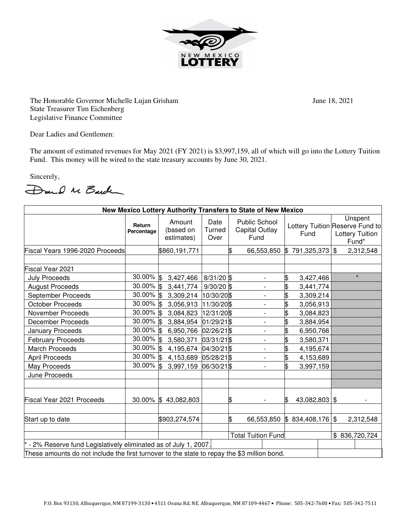

The Honorable Governor Michelle Lujan Grisham June 18, 2021 State Treasurer Tim Eichenberg Legislative Finance Committee

Dear Ladies and Gentlemen:

The amount of estimated revenues for May 2021 (FY 2021) is \$3,997,159, all of which will go into the Lottery Tuition Fund. This money will be wired to the state treasury accounts by June 30, 2021.

Sincerely,

Dand M Barden

| New Mexico Lottery Authority Transfers to State of New Mexico                               |                         |                                   |                           |    |                                                       |                     |                                                                               |
|---------------------------------------------------------------------------------------------|-------------------------|-----------------------------------|---------------------------|----|-------------------------------------------------------|---------------------|-------------------------------------------------------------------------------|
|                                                                                             | Return<br>Percentage    | Amount<br>(based on<br>estimates) | Date<br>Turned<br>Over    |    | <b>Public School</b><br><b>Capital Outlay</b><br>Fund | Fund                | Unspent<br>Lottery Tuition Reserve Fund to<br><b>Lottery Tuition</b><br>Fund* |
| Fiscal Years 1996-2020 Proceeds                                                             |                         | \$860,191,771                     |                           | \$ | 66,553,850                                            | 791,325,373<br>1\$  | $\boldsymbol{\mathsf{\$}}$<br>2,312,548                                       |
|                                                                                             |                         |                                   |                           |    |                                                       |                     |                                                                               |
| Fiscal Year 2021                                                                            |                         |                                   |                           |    |                                                       |                     |                                                                               |
| <b>July Proceeds</b>                                                                        | 30.00% \$               | 3,427,466                         | $8/31/20$ \$              |    | $\overline{a}$                                        | \$<br>3,427,466     | $\star$                                                                       |
| <b>August Proceeds</b>                                                                      | $30.00\%$ \$            | 3,441,774                         | $9/30/20$ \$              |    | $\overline{\phantom{0}}$                              | \$<br>3,441,774     |                                                                               |
| September Proceeds                                                                          | 30.00% \$               | 3,309,214 10/30/20\$              |                           |    | $\overline{a}$                                        | \$<br>3,309,214     |                                                                               |
| <b>October Proceeds</b>                                                                     | 30.00% \$               | 3,056,913                         | 11/30/20 \$               |    |                                                       | \$<br>3,056,913     |                                                                               |
| November Proceeds                                                                           | $30.00\%$ \$            | 3,084,823                         | 12/31/20\$                |    | $\overline{\phantom{a}}$                              | \$<br>3,084,823     |                                                                               |
| <b>December Proceeds</b>                                                                    | 30.00% \$               | 3,884,954                         | 01/29/21\$                |    | $\overline{\phantom{a}}$                              | \$<br>3,884,954     |                                                                               |
| January Proceeds                                                                            | 30.00% \$               | 6,950,766                         | 02/26/21 \$               |    | -                                                     | \$<br>6,950,766     |                                                                               |
| <b>February Proceeds</b>                                                                    | $30.00\%$ \$            | 3,580,371                         | 03/31/21 \$               |    | $\overline{\phantom{a}}$                              | \$<br>3,580,371     |                                                                               |
| <b>March Proceeds</b>                                                                       | 30.00% \$               | 4,195,674 04/30/21\$              |                           |    | $\overline{\phantom{a}}$                              | \$<br>4,195,674     |                                                                               |
| <b>April Proceeds</b>                                                                       | 30.00% \$               | 4,153,689                         | 05/28/21 \$               |    | $\overline{\phantom{a}}$                              | \$<br>4,153,689     |                                                                               |
| May Proceeds                                                                                | $\overline{30.00\%}$ \$ | 3,997,159                         | 06/30/21\$                |    | $\overline{\phantom{a}}$                              | \$<br>3,997,159     |                                                                               |
| June Proceeds                                                                               |                         |                                   |                           |    |                                                       |                     |                                                                               |
| Fiscal Year 2021 Proceeds                                                                   |                         | 30.00% \$43,082,803               |                           | \$ | $\overline{\phantom{a}}$                              | 43,082,803 \$<br>ß. |                                                                               |
| Start up to date                                                                            |                         | \$903,274,574                     |                           | \$ | 66,553,850                                            | \$834,408,176       | 2,312,548                                                                     |
|                                                                                             |                         |                                   | <b>Total Tuition Fund</b> |    |                                                       |                     | \$836,720,724                                                                 |
| - 2% Reserve fund Legislatively eliminated as of July 1, 2007.                              |                         |                                   |                           |    |                                                       |                     |                                                                               |
| These amounts do not include the first turnover to the state to repay the \$3 million bond. |                         |                                   |                           |    |                                                       |                     |                                                                               |